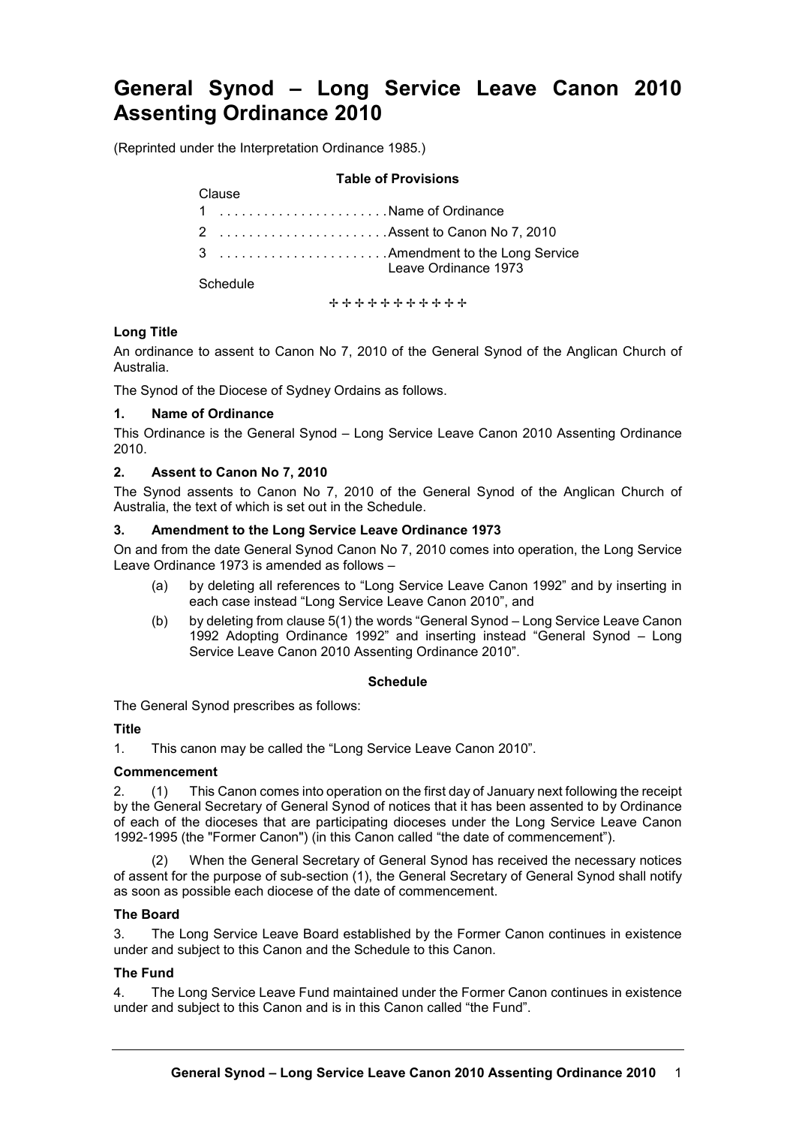# **General Synod – Long Service Leave Canon 2010 Assenting Ordinance 2010**

(Reprinted under the Interpretation Ordinance 1985.)

#### **Table of Provisions**

| viausc                        |                                                          |
|-------------------------------|----------------------------------------------------------|
| 1 Name of Ordinance           |                                                          |
| 2  Assent to Canon No 7, 2010 |                                                          |
|                               | 3  Amendment to the Long Service<br>Leave Ordinance 1973 |
| Schedule                      |                                                          |

+++++++++++

# **Long Title**

An ordinance to assent to Canon No 7, 2010 of the General Synod of the Anglican Church of Australia.

The Synod of the Diocese of Sydney Ordains as follows.

## **1. Name of Ordinance**

This Ordinance is the General Synod – Long Service Leave Canon 2010 Assenting Ordinance 2010.

## **2. Assent to Canon No 7, 2010**

Clause

The Synod assents to Canon No 7, 2010 of the General Synod of the Anglican Church of Australia, the text of which is set out in the Schedule.

## **3. Amendment to the Long Service Leave Ordinance 1973**

On and from the date General Synod Canon No 7, 2010 comes into operation, the Long Service Leave Ordinance 1973 is amended as follows –

- (a) by deleting all references to "Long Service Leave Canon 1992" and by inserting in each case instead "Long Service Leave Canon 2010", and
- (b) by deleting from clause 5(1) the words "General Synod Long Service Leave Canon 1992 Adopting Ordinance 1992" and inserting instead "General Synod – Long Service Leave Canon 2010 Assenting Ordinance 2010".

#### **Schedule**

The General Synod prescribes as follows:

# **Title**

1. This canon may be called the "Long Service Leave Canon 2010".

#### **Commencement**

2. (1) This Canon comes into operation on the first day of January next following the receipt by the General Secretary of General Synod of notices that it has been assented to by Ordinance of each of the dioceses that are participating dioceses under the Long Service Leave Canon 1992-1995 (the "Former Canon") (in this Canon called "the date of commencement").

When the General Secretary of General Synod has received the necessary notices of assent for the purpose of sub-section (1), the General Secretary of General Synod shall notify as soon as possible each diocese of the date of commencement.

# **The Board**

3. The Long Service Leave Board established by the Former Canon continues in existence under and subject to this Canon and the Schedule to this Canon.

# **The Fund**

4. The Long Service Leave Fund maintained under the Former Canon continues in existence under and subject to this Canon and is in this Canon called "the Fund".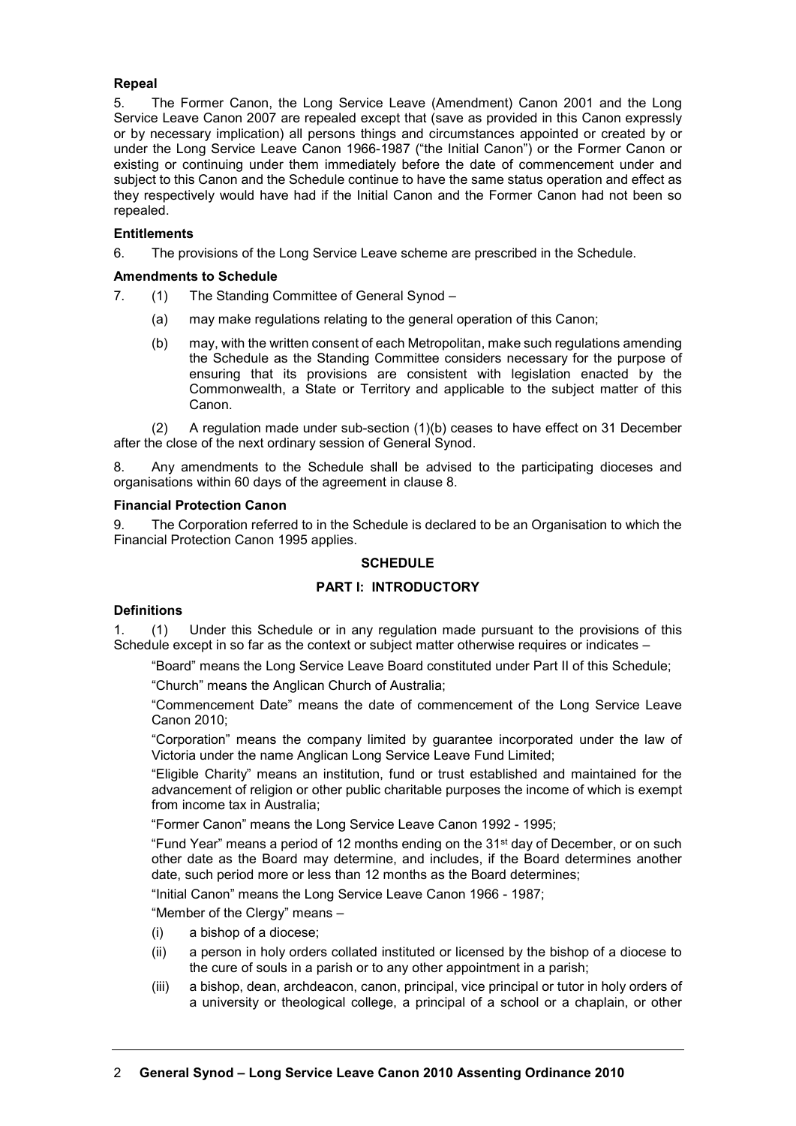# **Repeal**

5. The Former Canon, the Long Service Leave (Amendment) Canon 2001 and the Long Service Leave Canon 2007 are repealed except that (save as provided in this Canon expressly or by necessary implication) all persons things and circumstances appointed or created by or under the Long Service Leave Canon 1966-1987 ("the Initial Canon") or the Former Canon or existing or continuing under them immediately before the date of commencement under and subject to this Canon and the Schedule continue to have the same status operation and effect as they respectively would have had if the Initial Canon and the Former Canon had not been so repealed.

## **Entitlements**

6. The provisions of the Long Service Leave scheme are prescribed in the Schedule.

## **Amendments to Schedule**

- 7. (1) The Standing Committee of General Synod
	- (a) may make regulations relating to the general operation of this Canon;
	- (b) may, with the written consent of each Metropolitan, make such regulations amending the Schedule as the Standing Committee considers necessary for the purpose of ensuring that its provisions are consistent with legislation enacted by the Commonwealth, a State or Territory and applicable to the subject matter of this Canon.

(2) A regulation made under sub-section (1)(b) ceases to have effect on 31 December after the close of the next ordinary session of General Synod.

8. Any amendments to the Schedule shall be advised to the participating dioceses and organisations within 60 days of the agreement in clause 8.

## **Financial Protection Canon**

9. The Corporation referred to in the Schedule is declared to be an Organisation to which the Financial Protection Canon 1995 applies.

# **SCHEDULE**

# **PART I: INTRODUCTORY**

#### **Definitions**

1. (1) Under this Schedule or in any regulation made pursuant to the provisions of this Schedule except in so far as the context or subject matter otherwise requires or indicates –

"Board" means the Long Service Leave Board constituted under Part II of this Schedule;

"Church" means the Anglican Church of Australia;

"Commencement Date" means the date of commencement of the Long Service Leave Canon 2010;

"Corporation" means the company limited by guarantee incorporated under the law of Victoria under the name Anglican Long Service Leave Fund Limited;

"Eligible Charity" means an institution, fund or trust established and maintained for the advancement of religion or other public charitable purposes the income of which is exempt from income tax in Australia;

"Former Canon" means the Long Service Leave Canon 1992 - 1995;

"Fund Year" means a period of 12 months ending on the 31st day of December, or on such other date as the Board may determine, and includes, if the Board determines another date, such period more or less than 12 months as the Board determines;

"Initial Canon" means the Long Service Leave Canon 1966 - 1987;

"Member of the Clergy" means –

- (i) a bishop of a diocese;
- (ii) a person in holy orders collated instituted or licensed by the bishop of a diocese to the cure of souls in a parish or to any other appointment in a parish;
- (iii) a bishop, dean, archdeacon, canon, principal, vice principal or tutor in holy orders of a university or theological college, a principal of a school or a chaplain, or other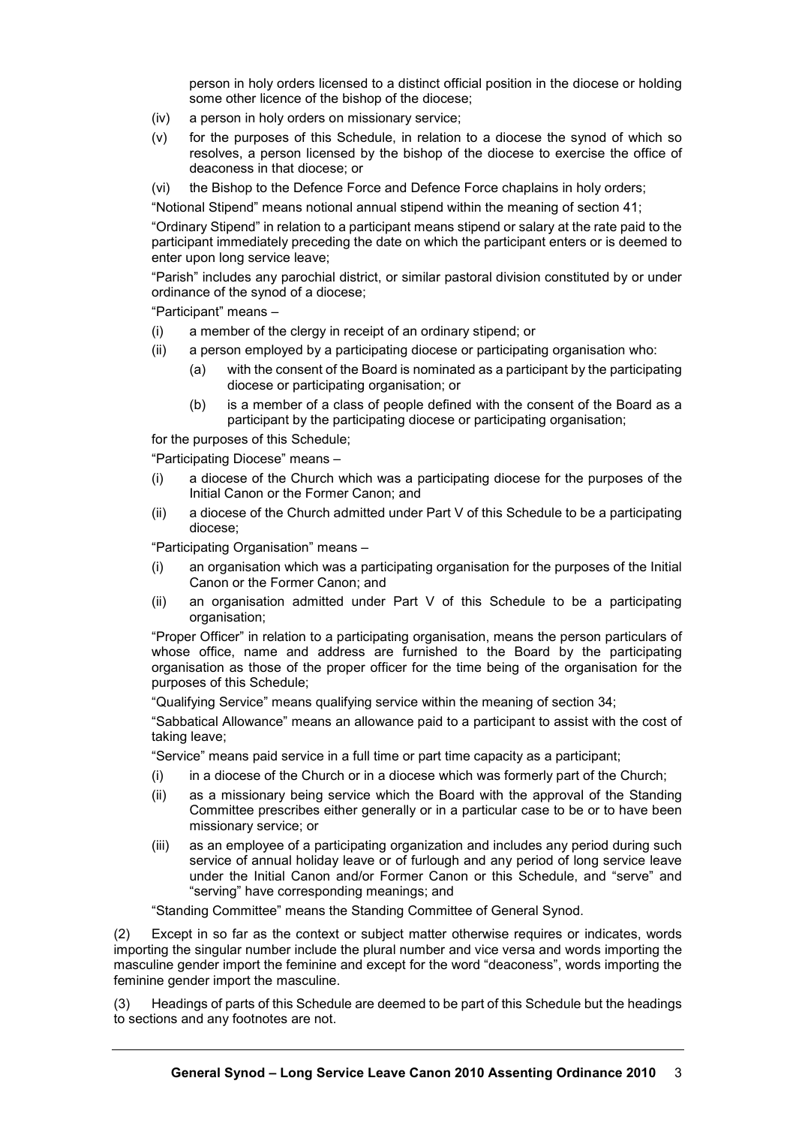person in holy orders licensed to a distinct official position in the diocese or holding some other licence of the bishop of the diocese;

- (iv) a person in holy orders on missionary service;
- (v) for the purposes of this Schedule, in relation to a diocese the synod of which so resolves, a person licensed by the bishop of the diocese to exercise the office of deaconess in that diocese; or
- (vi) the Bishop to the Defence Force and Defence Force chaplains in holy orders;

"Notional Stipend" means notional annual stipend within the meaning of section 41;

"Ordinary Stipend" in relation to a participant means stipend or salary at the rate paid to the participant immediately preceding the date on which the participant enters or is deemed to enter upon long service leave;

"Parish" includes any parochial district, or similar pastoral division constituted by or under ordinance of the synod of a diocese;

"Participant" means –

- (i) a member of the clergy in receipt of an ordinary stipend; or
- (ii) a person employed by a participating diocese or participating organisation who:
	- (a) with the consent of the Board is nominated as a participant by the participating diocese or participating organisation; or
	- (b) is a member of a class of people defined with the consent of the Board as a participant by the participating diocese or participating organisation;

for the purposes of this Schedule;

"Participating Diocese" means –

- (i) a diocese of the Church which was a participating diocese for the purposes of the Initial Canon or the Former Canon; and
- (ii) a diocese of the Church admitted under Part V of this Schedule to be a participating diocese;

"Participating Organisation" means –

- (i) an organisation which was a participating organisation for the purposes of the Initial Canon or the Former Canon; and
- (ii) an organisation admitted under Part V of this Schedule to be a participating organisation;

"Proper Officer" in relation to a participating organisation, means the person particulars of whose office, name and address are furnished to the Board by the participating organisation as those of the proper officer for the time being of the organisation for the purposes of this Schedule;

"Qualifying Service" means qualifying service within the meaning of section 34;

"Sabbatical Allowance" means an allowance paid to a participant to assist with the cost of taking leave;

"Service" means paid service in a full time or part time capacity as a participant;

- $(i)$  in a diocese of the Church or in a diocese which was formerly part of the Church;
- (ii) as a missionary being service which the Board with the approval of the Standing Committee prescribes either generally or in a particular case to be or to have been missionary service; or
- (iii) as an employee of a participating organization and includes any period during such service of annual holiday leave or of furlough and any period of long service leave under the Initial Canon and/or Former Canon or this Schedule, and "serve" and "serving" have corresponding meanings; and

"Standing Committee" means the Standing Committee of General Synod.

(2) Except in so far as the context or subject matter otherwise requires or indicates, words importing the singular number include the plural number and vice versa and words importing the masculine gender import the feminine and except for the word "deaconess", words importing the feminine gender import the masculine.

(3) Headings of parts of this Schedule are deemed to be part of this Schedule but the headings to sections and any footnotes are not.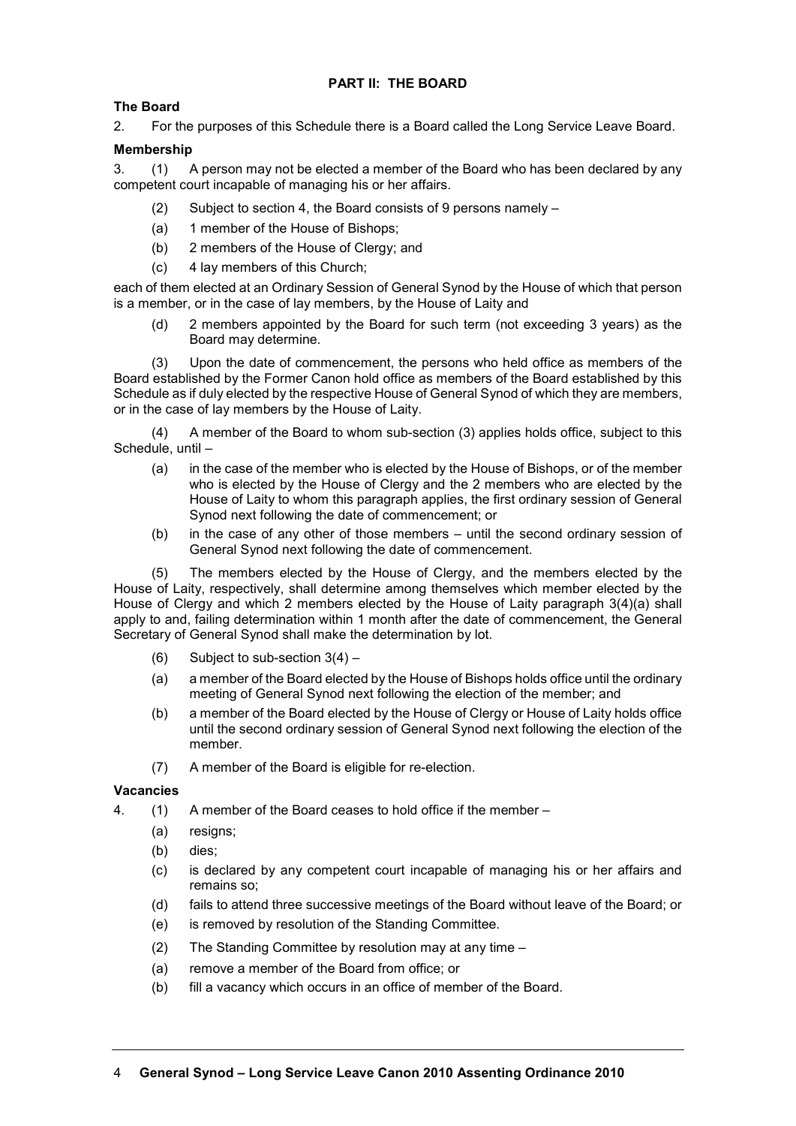# **PART II: THE BOARD**

# **The Board**

2. For the purposes of this Schedule there is a Board called the Long Service Leave Board.

# **Membership**

3. (1) A person may not be elected a member of the Board who has been declared by any competent court incapable of managing his or her affairs.

- (2) Subject to section 4, the Board consists of 9 persons namely –
- (a) 1 member of the House of Bishops;
- (b) 2 members of the House of Clergy; and
- (c) 4 lay members of this Church;

each of them elected at an Ordinary Session of General Synod by the House of which that person is a member, or in the case of lay members, by the House of Laity and

(d) 2 members appointed by the Board for such term (not exceeding 3 years) as the Board may determine.

(3) Upon the date of commencement, the persons who held office as members of the Board established by the Former Canon hold office as members of the Board established by this Schedule as if duly elected by the respective House of General Synod of which they are members, or in the case of lay members by the House of Laity.

(4) A member of the Board to whom sub-section (3) applies holds office, subject to this Schedule, until –

- (a) in the case of the member who is elected by the House of Bishops, or of the member who is elected by the House of Clergy and the 2 members who are elected by the House of Laity to whom this paragraph applies, the first ordinary session of General Synod next following the date of commencement; or
- (b) in the case of any other of those members until the second ordinary session of General Synod next following the date of commencement.

(5) The members elected by the House of Clergy, and the members elected by the House of Laity, respectively, shall determine among themselves which member elected by the House of Clergy and which 2 members elected by the House of Laity paragraph 3(4)(a) shall apply to and, failing determination within 1 month after the date of commencement, the General Secretary of General Synod shall make the determination by lot.

- (6) Subject to sub-section 3(4) –
- (a) a member of the Board elected by the House of Bishops holds office until the ordinary meeting of General Synod next following the election of the member; and
- (b) a member of the Board elected by the House of Clergy or House of Laity holds office until the second ordinary session of General Synod next following the election of the member.
- (7) A member of the Board is eligible for re-election.

# **Vacancies**

- 4. (1) A member of the Board ceases to hold office if the member
	- (a) resigns;
	- (b) dies;
	- (c) is declared by any competent court incapable of managing his or her affairs and remains so;
	- (d) fails to attend three successive meetings of the Board without leave of the Board; or
	- (e) is removed by resolution of the Standing Committee.
	- (2) The Standing Committee by resolution may at any time –
	- (a) remove a member of the Board from office; or
	- (b) fill a vacancy which occurs in an office of member of the Board.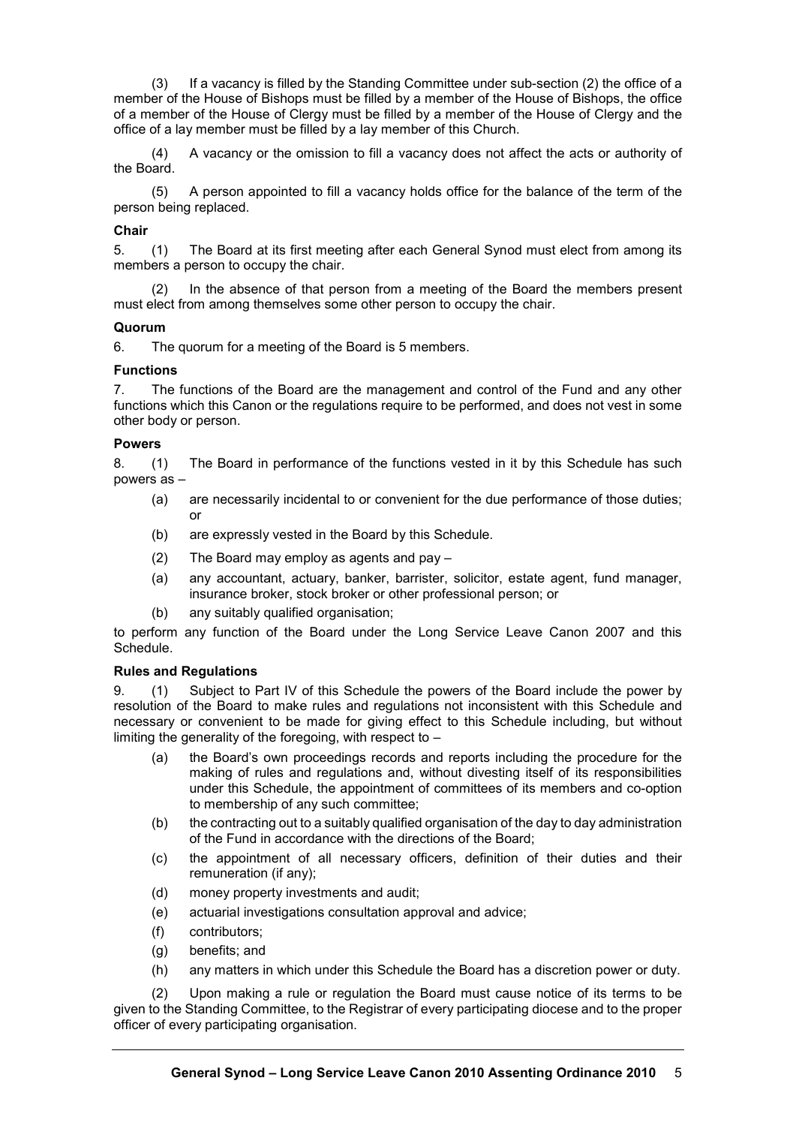(3) If a vacancy is filled by the Standing Committee under sub-section (2) the office of a member of the House of Bishops must be filled by a member of the House of Bishops, the office of a member of the House of Clergy must be filled by a member of the House of Clergy and the office of a lay member must be filled by a lay member of this Church.

(4) A vacancy or the omission to fill a vacancy does not affect the acts or authority of the Board.

(5) A person appointed to fill a vacancy holds office for the balance of the term of the person being replaced.

#### **Chair**

5. (1) The Board at its first meeting after each General Synod must elect from among its members a person to occupy the chair.

(2) In the absence of that person from a meeting of the Board the members present must elect from among themselves some other person to occupy the chair.

## **Quorum**

6. The quorum for a meeting of the Board is 5 members.

## **Functions**

7. The functions of the Board are the management and control of the Fund and any other functions which this Canon or the regulations require to be performed, and does not vest in some other body or person.

#### **Powers**

8. (1) The Board in performance of the functions vested in it by this Schedule has such powers as –

- (a) are necessarily incidental to or convenient for the due performance of those duties; or
- (b) are expressly vested in the Board by this Schedule.
- (2) The Board may employ as agents and pay –
- (a) any accountant, actuary, banker, barrister, solicitor, estate agent, fund manager, insurance broker, stock broker or other professional person; or
- (b) any suitably qualified organisation;

to perform any function of the Board under the Long Service Leave Canon 2007 and this Schedule.

#### **Rules and Regulations**

9. (1) Subject to Part IV of this Schedule the powers of the Board include the power by resolution of the Board to make rules and regulations not inconsistent with this Schedule and necessary or convenient to be made for giving effect to this Schedule including, but without limiting the generality of the foregoing, with respect to –

- (a) the Board's own proceedings records and reports including the procedure for the making of rules and regulations and, without divesting itself of its responsibilities under this Schedule, the appointment of committees of its members and co-option to membership of any such committee;
- (b) the contracting out to a suitably qualified organisation of the day to day administration of the Fund in accordance with the directions of the Board;
- (c) the appointment of all necessary officers, definition of their duties and their remuneration (if any);
- (d) money property investments and audit;
- (e) actuarial investigations consultation approval and advice;
- (f) contributors;
- (g) benefits; and
- (h) any matters in which under this Schedule the Board has a discretion power or duty.

(2) Upon making a rule or regulation the Board must cause notice of its terms to be given to the Standing Committee, to the Registrar of every participating diocese and to the proper officer of every participating organisation.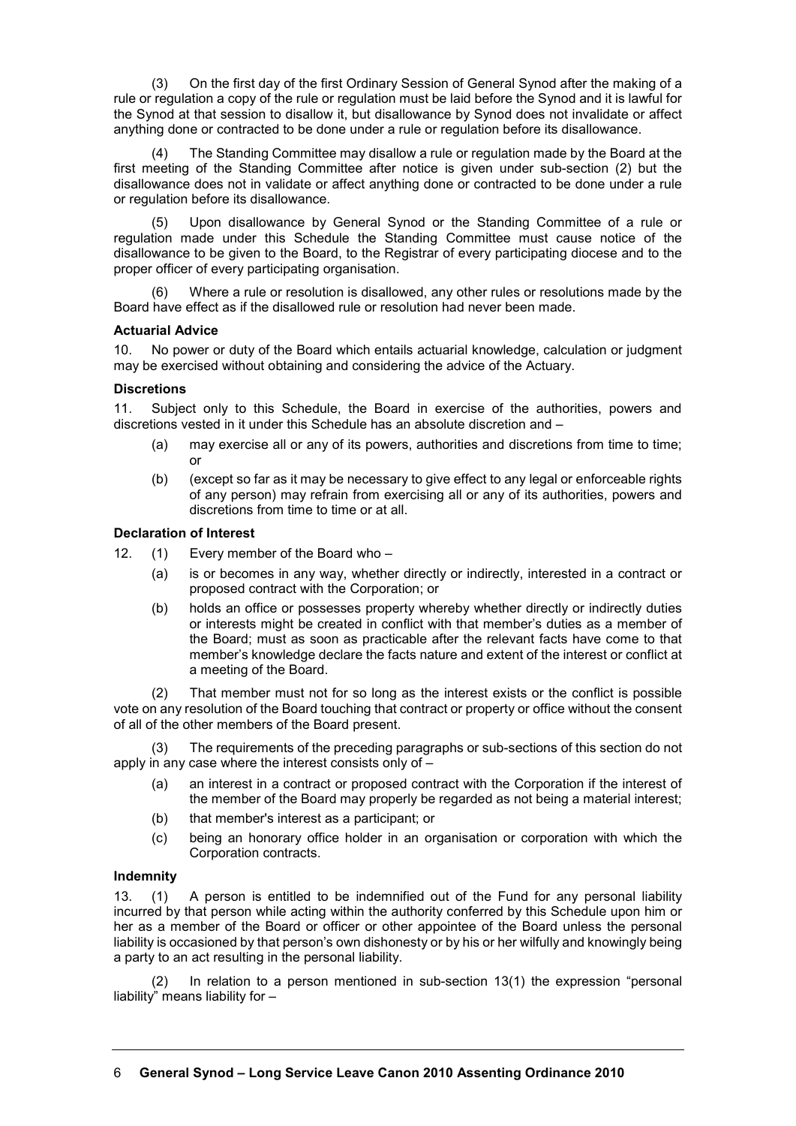(3) On the first day of the first Ordinary Session of General Synod after the making of a rule or regulation a copy of the rule or regulation must be laid before the Synod and it is lawful for the Synod at that session to disallow it, but disallowance by Synod does not invalidate or affect anything done or contracted to be done under a rule or regulation before its disallowance.

(4) The Standing Committee may disallow a rule or regulation made by the Board at the first meeting of the Standing Committee after notice is given under sub-section (2) but the disallowance does not in validate or affect anything done or contracted to be done under a rule or regulation before its disallowance.

(5) Upon disallowance by General Synod or the Standing Committee of a rule or regulation made under this Schedule the Standing Committee must cause notice of the disallowance to be given to the Board, to the Registrar of every participating diocese and to the proper officer of every participating organisation.

Where a rule or resolution is disallowed, any other rules or resolutions made by the Board have effect as if the disallowed rule or resolution had never been made.

## **Actuarial Advice**

10. No power or duty of the Board which entails actuarial knowledge, calculation or judgment may be exercised without obtaining and considering the advice of the Actuary.

## **Discretions**

11. Subject only to this Schedule, the Board in exercise of the authorities, powers and discretions vested in it under this Schedule has an absolute discretion and –

- (a) may exercise all or any of its powers, authorities and discretions from time to time; or
- (b) (except so far as it may be necessary to give effect to any legal or enforceable rights of any person) may refrain from exercising all or any of its authorities, powers and discretions from time to time or at all.

# **Declaration of Interest**

12. (1) Every member of the Board who –

- (a) is or becomes in any way, whether directly or indirectly, interested in a contract or proposed contract with the Corporation; or
- (b) holds an office or possesses property whereby whether directly or indirectly duties or interests might be created in conflict with that member's duties as a member of the Board; must as soon as practicable after the relevant facts have come to that member's knowledge declare the facts nature and extent of the interest or conflict at a meeting of the Board.

(2) That member must not for so long as the interest exists or the conflict is possible vote on any resolution of the Board touching that contract or property or office without the consent of all of the other members of the Board present.

(3) The requirements of the preceding paragraphs or sub-sections of this section do not apply in any case where the interest consists only of –

- (a) an interest in a contract or proposed contract with the Corporation if the interest of the member of the Board may properly be regarded as not being a material interest;
- (b) that member's interest as a participant; or
- (c) being an honorary office holder in an organisation or corporation with which the Corporation contracts.

#### **Indemnity**

13. (1) A person is entitled to be indemnified out of the Fund for any personal liability incurred by that person while acting within the authority conferred by this Schedule upon him or her as a member of the Board or officer or other appointee of the Board unless the personal liability is occasioned by that person's own dishonesty or by his or her wilfully and knowingly being a party to an act resulting in the personal liability.

(2) In relation to a person mentioned in sub-section 13(1) the expression "personal liability" means liability for –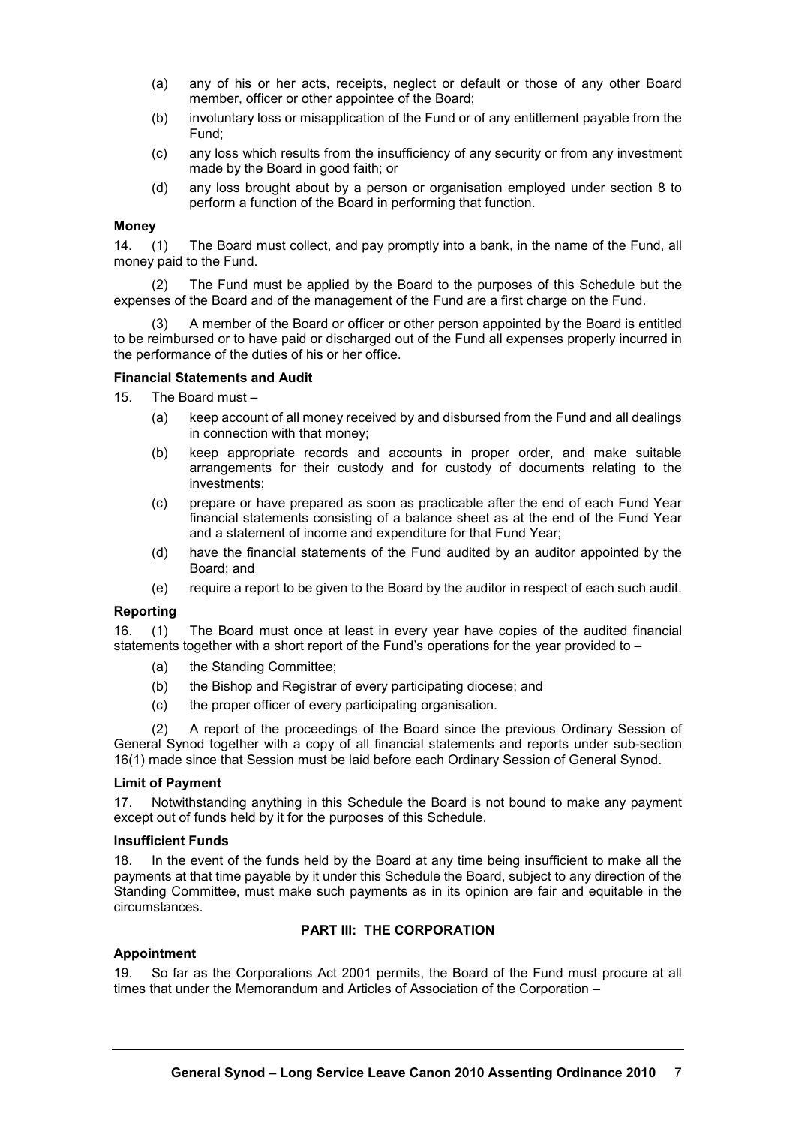- (a) any of his or her acts, receipts, neglect or default or those of any other Board member, officer or other appointee of the Board;
- (b) involuntary loss or misapplication of the Fund or of any entitlement payable from the Fund;
- (c) any loss which results from the insufficiency of any security or from any investment made by the Board in good faith; or
- (d) any loss brought about by a person or organisation employed under section 8 to perform a function of the Board in performing that function.

#### **Money**

14. (1) The Board must collect, and pay promptly into a bank, in the name of the Fund, all money paid to the Fund.

(2) The Fund must be applied by the Board to the purposes of this Schedule but the expenses of the Board and of the management of the Fund are a first charge on the Fund.

(3) A member of the Board or officer or other person appointed by the Board is entitled to be reimbursed or to have paid or discharged out of the Fund all expenses properly incurred in the performance of the duties of his or her office.

## **Financial Statements and Audit**

- 15. The Board must
	- (a) keep account of all money received by and disbursed from the Fund and all dealings in connection with that money;
	- (b) keep appropriate records and accounts in proper order, and make suitable arrangements for their custody and for custody of documents relating to the investments;
	- (c) prepare or have prepared as soon as practicable after the end of each Fund Year financial statements consisting of a balance sheet as at the end of the Fund Year and a statement of income and expenditure for that Fund Year;
	- (d) have the financial statements of the Fund audited by an auditor appointed by the Board; and
	- (e) require a report to be given to the Board by the auditor in respect of each such audit.

#### **Reporting**

16. (1) The Board must once at least in every year have copies of the audited financial statements together with a short report of the Fund's operations for the year provided to –

- (a) the Standing Committee;
- (b) the Bishop and Registrar of every participating diocese; and
- (c) the proper officer of every participating organisation.

(2) A report of the proceedings of the Board since the previous Ordinary Session of General Synod together with a copy of all financial statements and reports under sub-section 16(1) made since that Session must be laid before each Ordinary Session of General Synod.

#### **Limit of Payment**

17. Notwithstanding anything in this Schedule the Board is not bound to make any payment except out of funds held by it for the purposes of this Schedule.

#### **Insufficient Funds**

18. In the event of the funds held by the Board at any time being insufficient to make all the payments at that time payable by it under this Schedule the Board, subject to any direction of the Standing Committee, must make such payments as in its opinion are fair and equitable in the circumstances.

# **PART III: THE CORPORATION**

# **Appointment**

19. So far as the Corporations Act 2001 permits, the Board of the Fund must procure at all times that under the Memorandum and Articles of Association of the Corporation –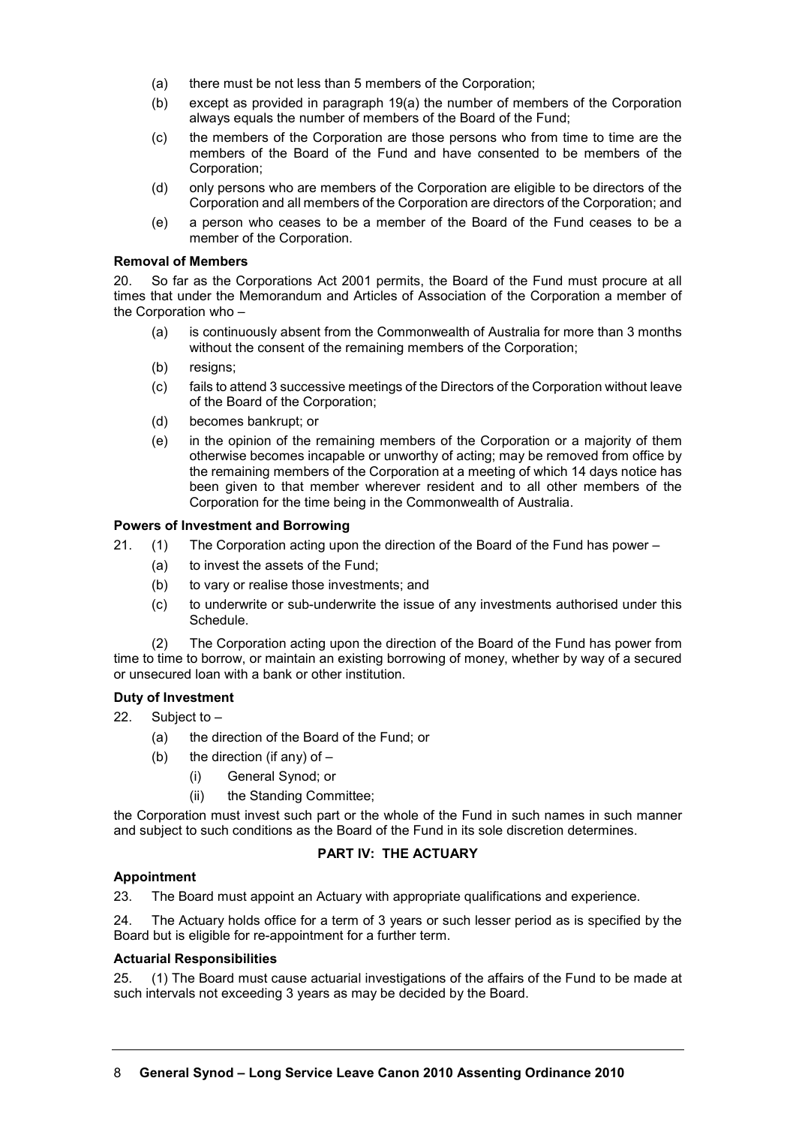- (a) there must be not less than 5 members of the Corporation;
- (b) except as provided in paragraph 19(a) the number of members of the Corporation always equals the number of members of the Board of the Fund;
- (c) the members of the Corporation are those persons who from time to time are the members of the Board of the Fund and have consented to be members of the Corporation;
- (d) only persons who are members of the Corporation are eligible to be directors of the Corporation and all members of the Corporation are directors of the Corporation; and
- (e) a person who ceases to be a member of the Board of the Fund ceases to be a member of the Corporation.

#### **Removal of Members**

20. So far as the Corporations Act 2001 permits, the Board of the Fund must procure at all times that under the Memorandum and Articles of Association of the Corporation a member of the Corporation who –

- (a) is continuously absent from the Commonwealth of Australia for more than 3 months without the consent of the remaining members of the Corporation:
- (b) resigns;
- (c) fails to attend 3 successive meetings of the Directors of the Corporation without leave of the Board of the Corporation;
- (d) becomes bankrupt; or
- (e) in the opinion of the remaining members of the Corporation or a majority of them otherwise becomes incapable or unworthy of acting; may be removed from office by the remaining members of the Corporation at a meeting of which 14 days notice has been given to that member wherever resident and to all other members of the Corporation for the time being in the Commonwealth of Australia.

## **Powers of Investment and Borrowing**

21. (1) The Corporation acting upon the direction of the Board of the Fund has power –

- (a) to invest the assets of the Fund;
- (b) to vary or realise those investments; and
- (c) to underwrite or sub-underwrite the issue of any investments authorised under this Schedule.

(2) The Corporation acting upon the direction of the Board of the Fund has power from time to time to borrow, or maintain an existing borrowing of money, whether by way of a secured or unsecured loan with a bank or other institution.

# **Duty of Investment**

- 22. Subject to
	- (a) the direction of the Board of the Fund; or
	- (b) the direction (if any) of  $-$ 
		- (i) General Synod; or
		- (ii) the Standing Committee;

the Corporation must invest such part or the whole of the Fund in such names in such manner and subject to such conditions as the Board of the Fund in its sole discretion determines.

# **PART IV: THE ACTUARY**

# **Appointment**

23. The Board must appoint an Actuary with appropriate qualifications and experience.

24. The Actuary holds office for a term of 3 years or such lesser period as is specified by the Board but is eligible for re-appointment for a further term.

#### **Actuarial Responsibilities**

25. (1) The Board must cause actuarial investigations of the affairs of the Fund to be made at such intervals not exceeding 3 years as may be decided by the Board.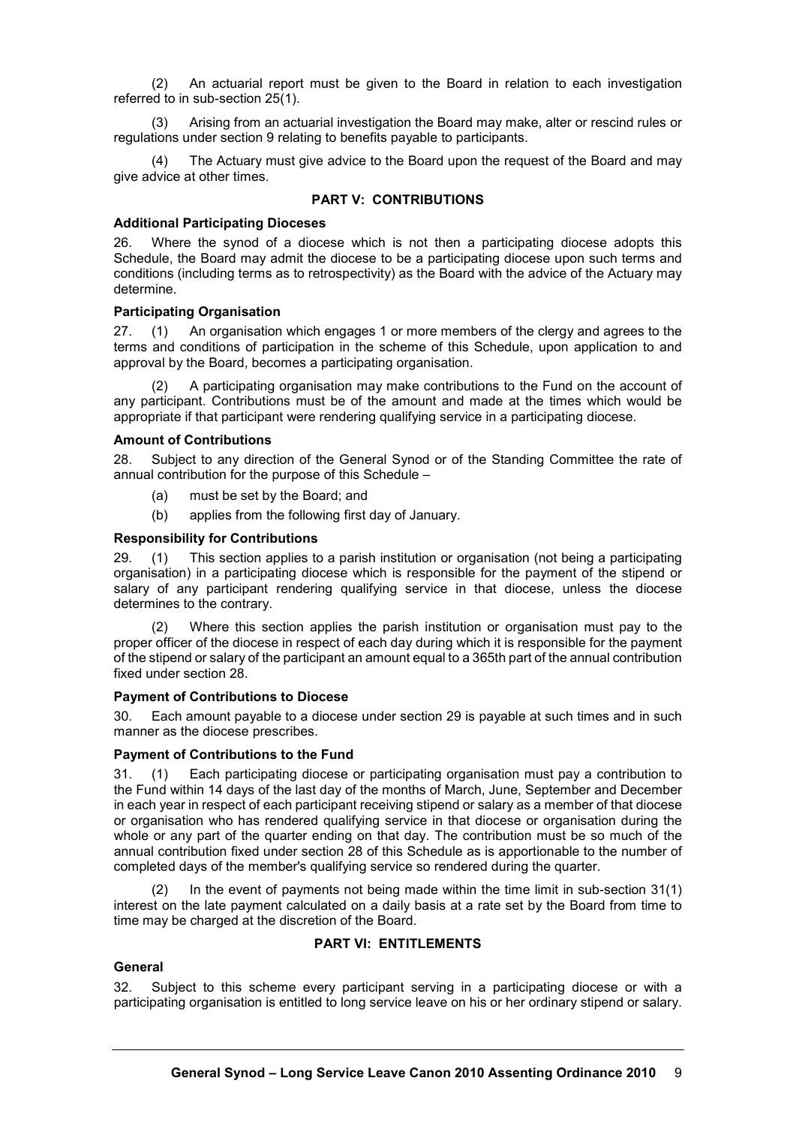(2) An actuarial report must be given to the Board in relation to each investigation referred to in sub-section 25(1).

(3) Arising from an actuarial investigation the Board may make, alter or rescind rules or regulations under section 9 relating to benefits payable to participants.

(4) The Actuary must give advice to the Board upon the request of the Board and may give advice at other times.

## **PART V: CONTRIBUTIONS**

#### **Additional Participating Dioceses**

26. Where the synod of a diocese which is not then a participating diocese adopts this Schedule, the Board may admit the diocese to be a participating diocese upon such terms and conditions (including terms as to retrospectivity) as the Board with the advice of the Actuary may determine.

## **Participating Organisation**

27. (1) An organisation which engages 1 or more members of the clergy and agrees to the terms and conditions of participation in the scheme of this Schedule, upon application to and approval by the Board, becomes a participating organisation.

A participating organisation may make contributions to the Fund on the account of any participant. Contributions must be of the amount and made at the times which would be appropriate if that participant were rendering qualifying service in a participating diocese.

## **Amount of Contributions**

28. Subject to any direction of the General Synod or of the Standing Committee the rate of annual contribution for the purpose of this Schedule –

- (a) must be set by the Board; and
- (b) applies from the following first day of January.

## **Responsibility for Contributions**

29. (1) This section applies to a parish institution or organisation (not being a participating organisation) in a participating diocese which is responsible for the payment of the stipend or salary of any participant rendering qualifying service in that diocese, unless the diocese determines to the contrary.

(2) Where this section applies the parish institution or organisation must pay to the proper officer of the diocese in respect of each day during which it is responsible for the payment of the stipend or salary of the participant an amount equal to a 365th part of the annual contribution fixed under section 28.

# **Payment of Contributions to Diocese**

30. Each amount payable to a diocese under section 29 is payable at such times and in such manner as the diocese prescribes.

# **Payment of Contributions to the Fund**

31. (1) Each participating diocese or participating organisation must pay a contribution to the Fund within 14 days of the last day of the months of March, June, September and December in each year in respect of each participant receiving stipend or salary as a member of that diocese or organisation who has rendered qualifying service in that diocese or organisation during the whole or any part of the quarter ending on that day. The contribution must be so much of the annual contribution fixed under section 28 of this Schedule as is apportionable to the number of completed days of the member's qualifying service so rendered during the quarter.

(2) In the event of payments not being made within the time limit in sub-section 31(1) interest on the late payment calculated on a daily basis at a rate set by the Board from time to time may be charged at the discretion of the Board.

# **PART VI: ENTITLEMENTS**

# **General**

32. Subject to this scheme every participant serving in a participating diocese or with a participating organisation is entitled to long service leave on his or her ordinary stipend or salary.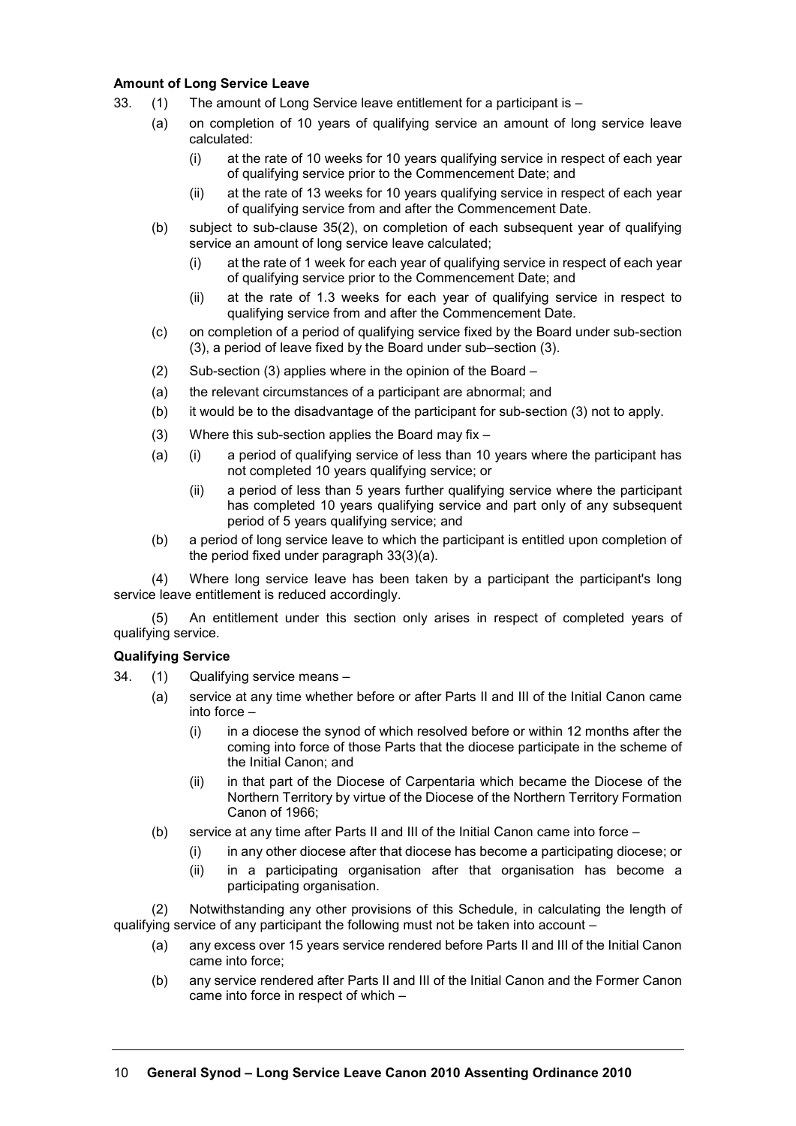## **Amount of Long Service Leave**

- 33. (1) The amount of Long Service leave entitlement for a participant is
	- (a) on completion of 10 years of qualifying service an amount of long service leave calculated:
		- (i) at the rate of 10 weeks for 10 years qualifying service in respect of each year of qualifying service prior to the Commencement Date; and
		- (ii) at the rate of 13 weeks for 10 years qualifying service in respect of each year of qualifying service from and after the Commencement Date.
	- (b) subject to sub-clause 35(2), on completion of each subsequent year of qualifying service an amount of long service leave calculated;
		- (i) at the rate of 1 week for each year of qualifying service in respect of each year of qualifying service prior to the Commencement Date; and
		- (ii) at the rate of 1.3 weeks for each year of qualifying service in respect to qualifying service from and after the Commencement Date.
	- (c) on completion of a period of qualifying service fixed by the Board under sub-section (3), a period of leave fixed by the Board under sub–section (3).
	- (2) Sub-section (3) applies where in the opinion of the Board –
	- (a) the relevant circumstances of a participant are abnormal; and
	- (b) it would be to the disadvantage of the participant for sub-section (3) not to apply.
	- (3) Where this sub-section applies the Board may fix –
	- (a) (i) a period of qualifying service of less than 10 years where the participant has not completed 10 years qualifying service; or
		- (ii) a period of less than 5 years further qualifying service where the participant has completed 10 years qualifying service and part only of any subsequent period of 5 years qualifying service; and
	- (b) a period of long service leave to which the participant is entitled upon completion of the period fixed under paragraph 33(3)(a).

(4) Where long service leave has been taken by a participant the participant's long service leave entitlement is reduced accordingly.

(5) An entitlement under this section only arises in respect of completed years of qualifying service.

# **Qualifying Service**

- 34. (1) Qualifying service means
	- (a) service at any time whether before or after Parts II and III of the Initial Canon came into force –
		- (i) in a diocese the synod of which resolved before or within 12 months after the coming into force of those Parts that the diocese participate in the scheme of the Initial Canon; and
		- (ii) in that part of the Diocese of Carpentaria which became the Diocese of the Northern Territory by virtue of the Diocese of the Northern Territory Formation Canon of 1966;
	- (b) service at any time after Parts II and III of the Initial Canon came into force
		- (i) in any other diocese after that diocese has become a participating diocese; or
		- (ii) in a participating organisation after that organisation has become a participating organisation.

(2) Notwithstanding any other provisions of this Schedule, in calculating the length of qualifying service of any participant the following must not be taken into account –

- (a) any excess over 15 years service rendered before Parts II and III of the Initial Canon came into force;
- (b) any service rendered after Parts II and III of the Initial Canon and the Former Canon came into force in respect of which –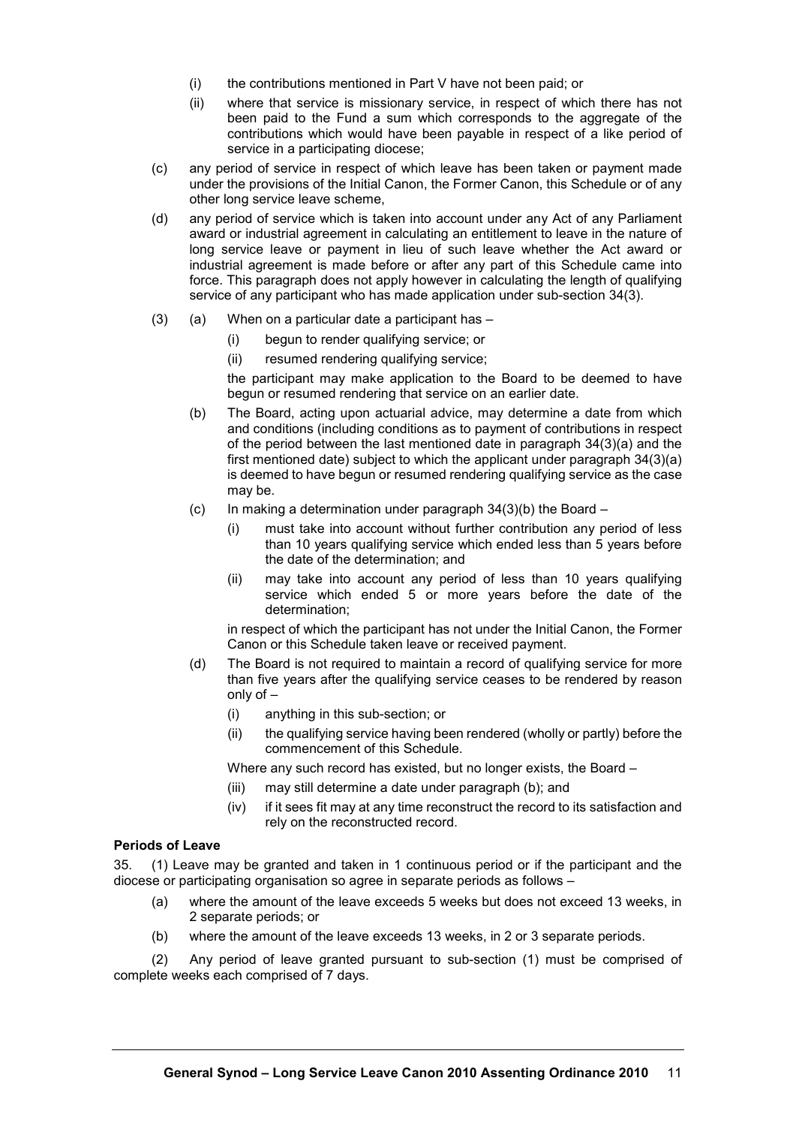- (i) the contributions mentioned in Part V have not been paid; or
- (ii) where that service is missionary service, in respect of which there has not been paid to the Fund a sum which corresponds to the aggregate of the contributions which would have been payable in respect of a like period of service in a participating diocese;
- (c) any period of service in respect of which leave has been taken or payment made under the provisions of the Initial Canon, the Former Canon, this Schedule or of any other long service leave scheme,
- (d) any period of service which is taken into account under any Act of any Parliament award or industrial agreement in calculating an entitlement to leave in the nature of long service leave or payment in lieu of such leave whether the Act award or industrial agreement is made before or after any part of this Schedule came into force. This paragraph does not apply however in calculating the length of qualifying service of any participant who has made application under sub-section 34(3).
- $(3)$  (a) When on a particular date a participant has  $-$ 
	- (i) begun to render qualifying service; or
	- (ii) resumed rendering qualifying service;

the participant may make application to the Board to be deemed to have begun or resumed rendering that service on an earlier date.

- (b) The Board, acting upon actuarial advice, may determine a date from which and conditions (including conditions as to payment of contributions in respect of the period between the last mentioned date in paragraph 34(3)(a) and the first mentioned date) subject to which the applicant under paragraph 34(3)(a) is deemed to have begun or resumed rendering qualifying service as the case may be.
- (c) In making a determination under paragraph  $34(3)(b)$  the Board
	- (i) must take into account without further contribution any period of less than 10 years qualifying service which ended less than 5 years before the date of the determination; and
	- (ii) may take into account any period of less than 10 years qualifying service which ended 5 or more years before the date of the determination;

in respect of which the participant has not under the Initial Canon, the Former Canon or this Schedule taken leave or received payment.

- (d) The Board is not required to maintain a record of qualifying service for more than five years after the qualifying service ceases to be rendered by reason only of –
	- (i) anything in this sub-section; or
	- (ii) the qualifying service having been rendered (wholly or partly) before the commencement of this Schedule.

Where any such record has existed, but no longer exists, the Board –

- (iii) may still determine a date under paragraph (b); and
- (iv) if it sees fit may at any time reconstruct the record to its satisfaction and rely on the reconstructed record.

#### **Periods of Leave**

35. (1) Leave may be granted and taken in 1 continuous period or if the participant and the diocese or participating organisation so agree in separate periods as follows –

- (a) where the amount of the leave exceeds 5 weeks but does not exceed 13 weeks, in 2 separate periods; or
- (b) where the amount of the leave exceeds 13 weeks, in 2 or 3 separate periods.

(2) Any period of leave granted pursuant to sub-section (1) must be comprised of complete weeks each comprised of 7 days.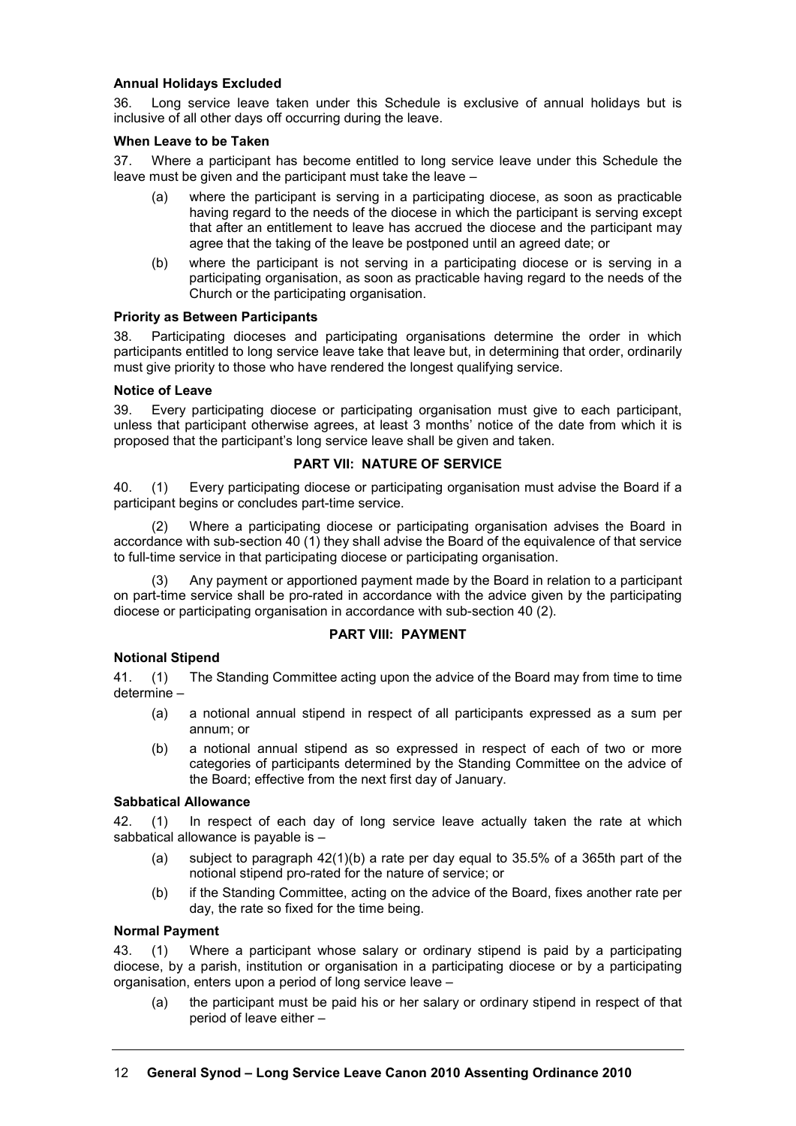## **Annual Holidays Excluded**

36. Long service leave taken under this Schedule is exclusive of annual holidays but is inclusive of all other days off occurring during the leave.

#### **When Leave to be Taken**

37. Where a participant has become entitled to long service leave under this Schedule the leave must be given and the participant must take the leave –

- (a) where the participant is serving in a participating diocese, as soon as practicable having regard to the needs of the diocese in which the participant is serving except that after an entitlement to leave has accrued the diocese and the participant may agree that the taking of the leave be postponed until an agreed date; or
- (b) where the participant is not serving in a participating diocese or is serving in a participating organisation, as soon as practicable having regard to the needs of the Church or the participating organisation.

## **Priority as Between Participants**

38. Participating dioceses and participating organisations determine the order in which participants entitled to long service leave take that leave but, in determining that order, ordinarily must give priority to those who have rendered the longest qualifying service.

## **Notice of Leave**

39. Every participating diocese or participating organisation must give to each participant, unless that participant otherwise agrees, at least 3 months' notice of the date from which it is proposed that the participant's long service leave shall be given and taken.

## **PART VII: NATURE OF SERVICE**

40. (1) Every participating diocese or participating organisation must advise the Board if a participant begins or concludes part-time service.

(2) Where a participating diocese or participating organisation advises the Board in accordance with sub-section 40 (1) they shall advise the Board of the equivalence of that service to full-time service in that participating diocese or participating organisation.

(3) Any payment or apportioned payment made by the Board in relation to a participant on part-time service shall be pro-rated in accordance with the advice given by the participating diocese or participating organisation in accordance with sub-section 40 (2).

# **PART VIII: PAYMENT**

#### **Notional Stipend**

41. (1) The Standing Committee acting upon the advice of the Board may from time to time determine –

- (a) a notional annual stipend in respect of all participants expressed as a sum per annum; or
- (b) a notional annual stipend as so expressed in respect of each of two or more categories of participants determined by the Standing Committee on the advice of the Board; effective from the next first day of January.

#### **Sabbatical Allowance**

42. (1) In respect of each day of long service leave actually taken the rate at which sabbatical allowance is payable is –

- (a) subject to paragraph  $42(1)(b)$  a rate per day equal to 35.5% of a 365th part of the notional stipend pro-rated for the nature of service; or
- (b) if the Standing Committee, acting on the advice of the Board, fixes another rate per day, the rate so fixed for the time being.

#### **Normal Payment**

43. (1) Where a participant whose salary or ordinary stipend is paid by a participating diocese, by a parish, institution or organisation in a participating diocese or by a participating organisation, enters upon a period of long service leave –

(a) the participant must be paid his or her salary or ordinary stipend in respect of that period of leave either –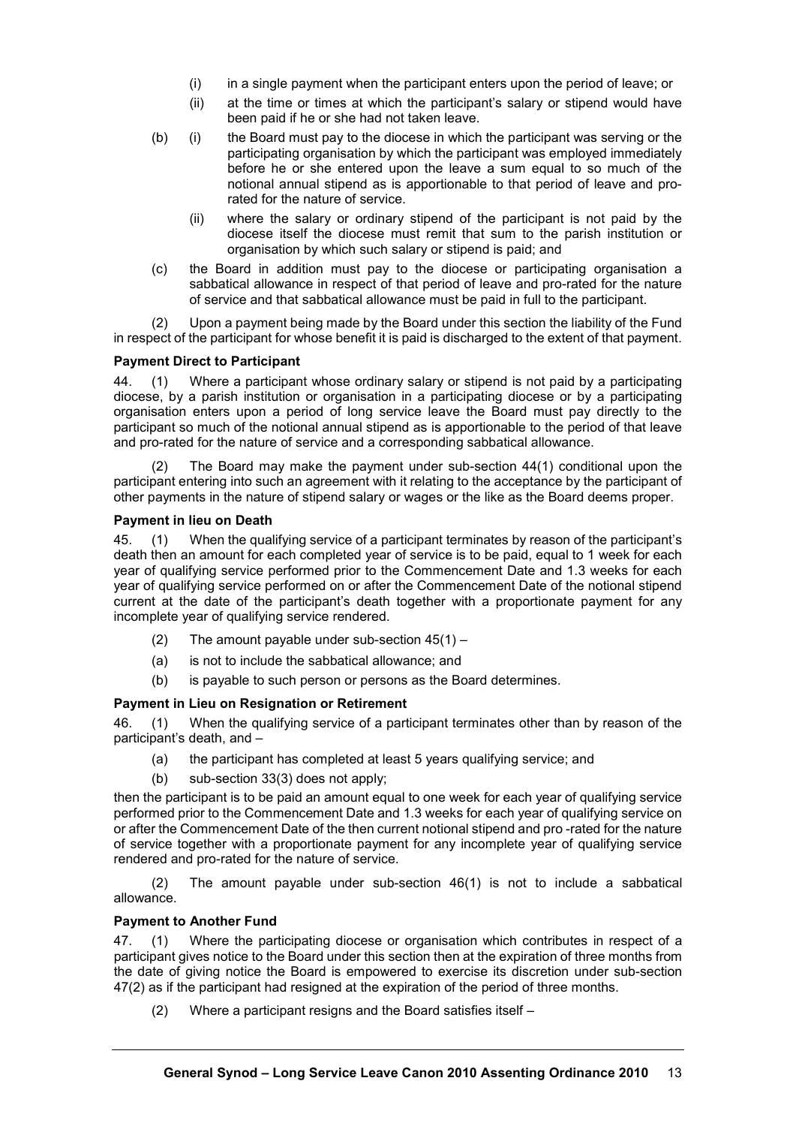- (i) in a single payment when the participant enters upon the period of leave; or
- (ii) at the time or times at which the participant's salary or stipend would have been paid if he or she had not taken leave.
- (b) (i) the Board must pay to the diocese in which the participant was serving or the participating organisation by which the participant was employed immediately before he or she entered upon the leave a sum equal to so much of the notional annual stipend as is apportionable to that period of leave and prorated for the nature of service.
	- (ii) where the salary or ordinary stipend of the participant is not paid by the diocese itself the diocese must remit that sum to the parish institution or organisation by which such salary or stipend is paid; and
- (c) the Board in addition must pay to the diocese or participating organisation a sabbatical allowance in respect of that period of leave and pro-rated for the nature of service and that sabbatical allowance must be paid in full to the participant.

(2) Upon a payment being made by the Board under this section the liability of the Fund in respect of the participant for whose benefit it is paid is discharged to the extent of that payment.

# **Payment Direct to Participant**

44. (1) Where a participant whose ordinary salary or stipend is not paid by a participating diocese, by a parish institution or organisation in a participating diocese or by a participating organisation enters upon a period of long service leave the Board must pay directly to the participant so much of the notional annual stipend as is apportionable to the period of that leave and pro-rated for the nature of service and a corresponding sabbatical allowance.

(2) The Board may make the payment under sub-section 44(1) conditional upon the participant entering into such an agreement with it relating to the acceptance by the participant of other payments in the nature of stipend salary or wages or the like as the Board deems proper.

# **Payment in lieu on Death**

45. (1) When the qualifying service of a participant terminates by reason of the participant's death then an amount for each completed year of service is to be paid, equal to 1 week for each year of qualifying service performed prior to the Commencement Date and 1.3 weeks for each year of qualifying service performed on or after the Commencement Date of the notional stipend current at the date of the participant's death together with a proportionate payment for any incomplete year of qualifying service rendered.

- (2) The amount payable under sub-section  $45(1)$  –
- (a) is not to include the sabbatical allowance; and
- (b) is payable to such person or persons as the Board determines.

# **Payment in Lieu on Resignation or Retirement**

46. (1) When the qualifying service of a participant terminates other than by reason of the participant's death, and –

- (a) the participant has completed at least 5 years qualifying service; and
- (b) sub-section 33(3) does not apply;

then the participant is to be paid an amount equal to one week for each year of qualifying service performed prior to the Commencement Date and 1.3 weeks for each year of qualifying service on or after the Commencement Date of the then current notional stipend and pro -rated for the nature of service together with a proportionate payment for any incomplete year of qualifying service rendered and pro-rated for the nature of service.

(2) The amount payable under sub-section 46(1) is not to include a sabbatical allowance.

# **Payment to Another Fund**

47. (1) Where the participating diocese or organisation which contributes in respect of a participant gives notice to the Board under this section then at the expiration of three months from the date of giving notice the Board is empowered to exercise its discretion under sub-section 47(2) as if the participant had resigned at the expiration of the period of three months.

(2) Where a participant resigns and the Board satisfies itself –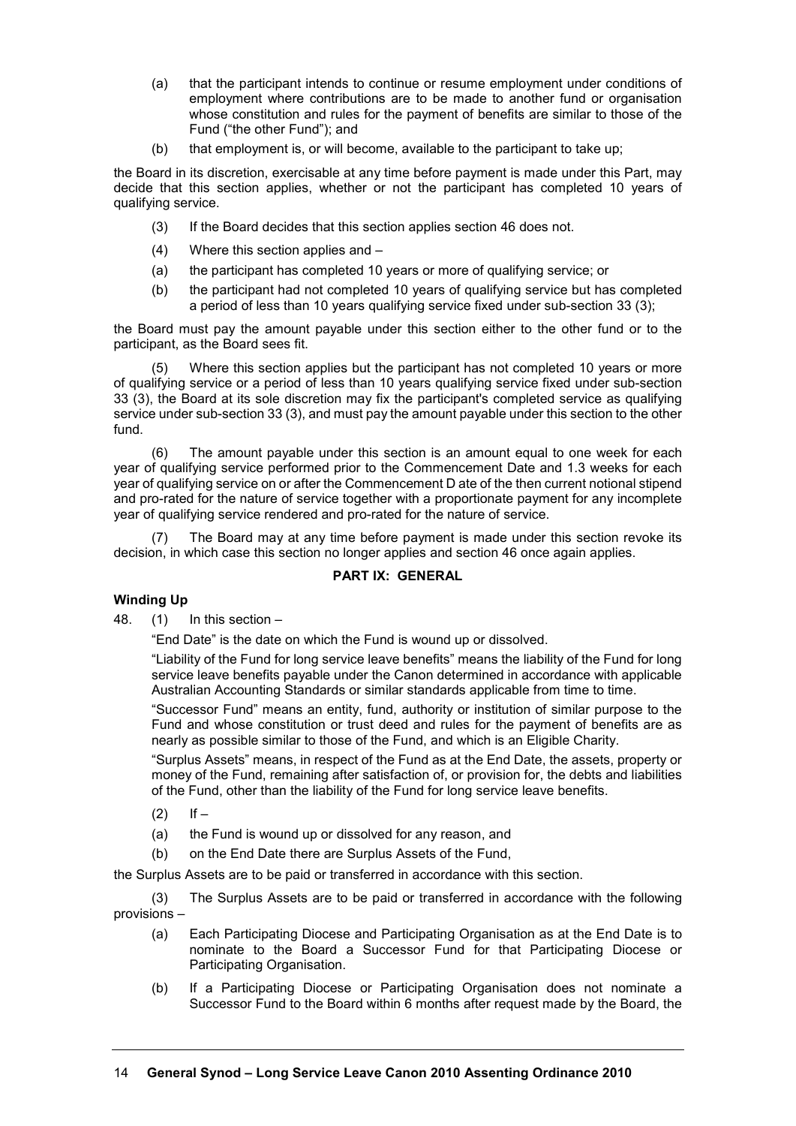- (a) that the participant intends to continue or resume employment under conditions of employment where contributions are to be made to another fund or organisation whose constitution and rules for the payment of benefits are similar to those of the Fund ("the other Fund"); and
- (b) that employment is, or will become, available to the participant to take up;

the Board in its discretion, exercisable at any time before payment is made under this Part, may decide that this section applies, whether or not the participant has completed 10 years of qualifying service.

- (3) If the Board decides that this section applies section 46 does not.
- (4) Where this section applies and –
- (a) the participant has completed 10 years or more of qualifying service; or
- (b) the participant had not completed 10 years of qualifying service but has completed a period of less than 10 years qualifying service fixed under sub-section 33 (3);

the Board must pay the amount payable under this section either to the other fund or to the participant, as the Board sees fit.

(5) Where this section applies but the participant has not completed 10 years or more of qualifying service or a period of less than 10 years qualifying service fixed under sub-section 33 (3), the Board at its sole discretion may fix the participant's completed service as qualifying service under sub-section 33 (3), and must pay the amount payable under this section to the other fund.

(6) The amount payable under this section is an amount equal to one week for each year of qualifying service performed prior to the Commencement Date and 1.3 weeks for each year of qualifying service on or after the Commencement D ate of the then current notional stipend and pro-rated for the nature of service together with a proportionate payment for any incomplete year of qualifying service rendered and pro-rated for the nature of service.

(7) The Board may at any time before payment is made under this section revoke its decision, in which case this section no longer applies and section 46 once again applies.

# **PART IX: GENERAL**

# **Winding Up**

48. (1) In this section –

"End Date" is the date on which the Fund is wound up or dissolved.

"Liability of the Fund for long service leave benefits" means the liability of the Fund for long service leave benefits payable under the Canon determined in accordance with applicable Australian Accounting Standards or similar standards applicable from time to time.

"Successor Fund" means an entity, fund, authority or institution of similar purpose to the Fund and whose constitution or trust deed and rules for the payment of benefits are as nearly as possible similar to those of the Fund, and which is an Eligible Charity.

"Surplus Assets" means, in respect of the Fund as at the End Date, the assets, property or money of the Fund, remaining after satisfaction of, or provision for, the debts and liabilities of the Fund, other than the liability of the Fund for long service leave benefits.

- $(2)$  If –
- (a) the Fund is wound up or dissolved for any reason, and
- (b) on the End Date there are Surplus Assets of the Fund,

the Surplus Assets are to be paid or transferred in accordance with this section.

(3) The Surplus Assets are to be paid or transferred in accordance with the following provisions –

- (a) Each Participating Diocese and Participating Organisation as at the End Date is to nominate to the Board a Successor Fund for that Participating Diocese or Participating Organisation.
- (b) If a Participating Diocese or Participating Organisation does not nominate a Successor Fund to the Board within 6 months after request made by the Board, the